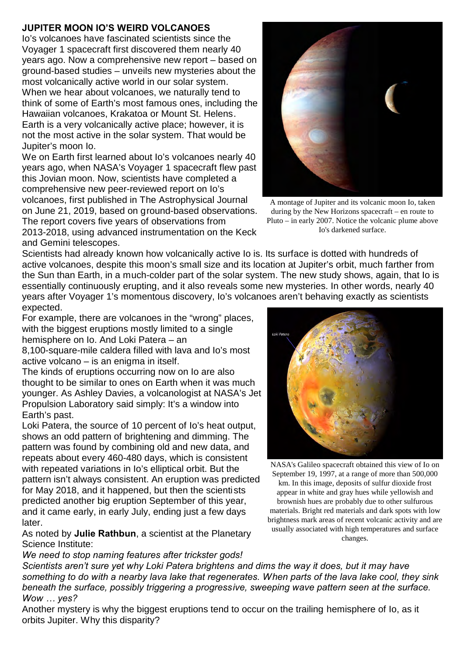## **JUPITER MOON IO'S WEIRD VOLCANOES**

Io's volcanoes have fascinated scientists since the Voyager 1 spacecraft first discovered them nearly 40 years ago. Now a comprehensive new report – based on ground-based studies – unveils new mysteries about the most volcanically active world in our solar system. When we hear about volcanoes, we naturally tend to think of some of Earth's most famous ones, including the Hawaiian volcanoes, Krakatoa or Mount St. Helens. Earth is a very volcanically active place; however, it is not the most active in the solar system. That would be Jupiter's moon Io.

We on Earth first learned about Io's volcanoes nearly 40 years ago, when NASA's Voyager 1 spacecraft flew past this Jovian moon. Now, scientists have completed a comprehensive new peer-reviewed report on Io's volcanoes, first published in The Astrophysical Journal on June 21, 2019, based on ground-based observations. The report covers five years of observations from 2013-2018, using advanced instrumentation on the Keck

and Gemini telescopes.

Scientists had already known how volcanically active Io is. Its surface is dotted with hundreds of active volcanoes, despite this moon's small size and its location at Jupiter's orbit, much farther from the Sun than Earth, in a much-colder part of the solar system. The new study shows, again, that Io is essentially continuously erupting, and it also reveals some new mysteries. In other words, nearly 40 years after Voyager 1's momentous discovery, Io's volcanoes aren't behaving exactly as scientists expected.

For example, there are volcanoes in the "wrong" places, with the biggest eruptions mostly limited to a single hemisphere on Io. And Loki Patera – an

8,100-square-mile caldera filled with lava and Io's most active volcano – is an enigma in itself.

The kinds of eruptions occurring now on Io are also thought to be similar to ones on Earth when it was much younger. As Ashley Davies, a volcanologist at NASA's Jet Propulsion Laboratory said simply: It's a window into Earth's past.

Loki Patera, the source of 10 percent of Io's heat output, shows an odd pattern of brightening and dimming. The pattern was found by combining old and new data, and repeats about every 460-480 days, which is consistent with repeated variations in Io's elliptical orbit. But the pattern isn't always consistent. An eruption was predicted for May 2018, and it happened, but then the scientists predicted another big eruption September of this year, and it came early, in early July, ending just a few days later.

As noted by **Julie Rathbun**, a scientist at the Planetary Science Institute:

*We need to stop naming features after trickster gods!*

*Scientists aren't sure yet why Loki Patera brightens and dims the way it does, but it may have something to do with a nearby lava lake that regenerates. When parts of the lava lake cool, they sink beneath the surface, possibly triggering a progressive, sweeping wave pattern seen at the surface. Wow … yes?*

Another mystery is why the biggest eruptions tend to occur on the trailing hemisphere of Io, as it orbits Jupiter. Why this disparity?



during by the New Horizons spacecraft – en route to Pluto – in early 2007. Notice the volcanic plume above Io's darkened surface.



NASA's Galileo spacecraft obtained this view of Io on September 19, 1997, at a range of more than 500,000 km. In this image, deposits of sulfur dioxide frost appear in white and gray hues while yellowish and brownish hues are probably due to other sulfurous materials. Bright red materials and dark spots with low brightness mark areas of recent volcanic activity and are usually associated with high temperatures and surface changes.